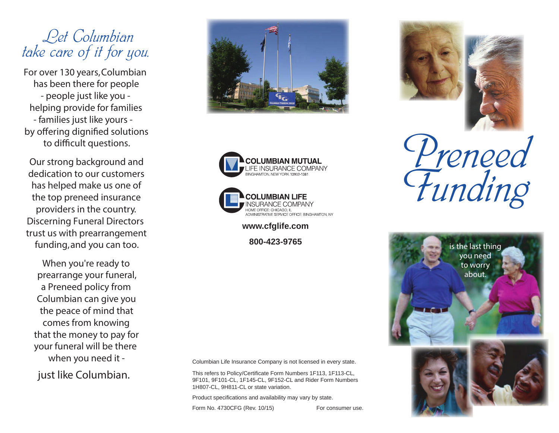## *Let Columbian take care of it for you.*

For over 130 years, Columbian has been there for people *- people just like you*  helping provide for families *- families just like yours*  by offering dignified solutions to difficult questions.

Our strong background and dedication to our customers has helped make us one of the top preneed insurance providers in the country. Discerning Funeral Directors trust us with prearrangement funding, and you can too.

When you're ready to prearrange your funeral, a Preneed policy from Columbian can give you the peace of mind that comes from knowing that the money to pay for your funeral will be there when you need it *just like Columbian.*







**www.cfglife.com**

Columbian Life Insurance Company is not licensed in every state.

This refers to Policy/Certificate Form Numbers 1F113, 1F113-CL, 9F101, 9F101-CL, 1F145-CL, 9F152-CL and Rider Form Numbers 1H807-CL, 9H811-CL or state variation.

Product specifications and availability may vary by state.

Form No. 4730CFG (Rev. 10/15) For consumer use.